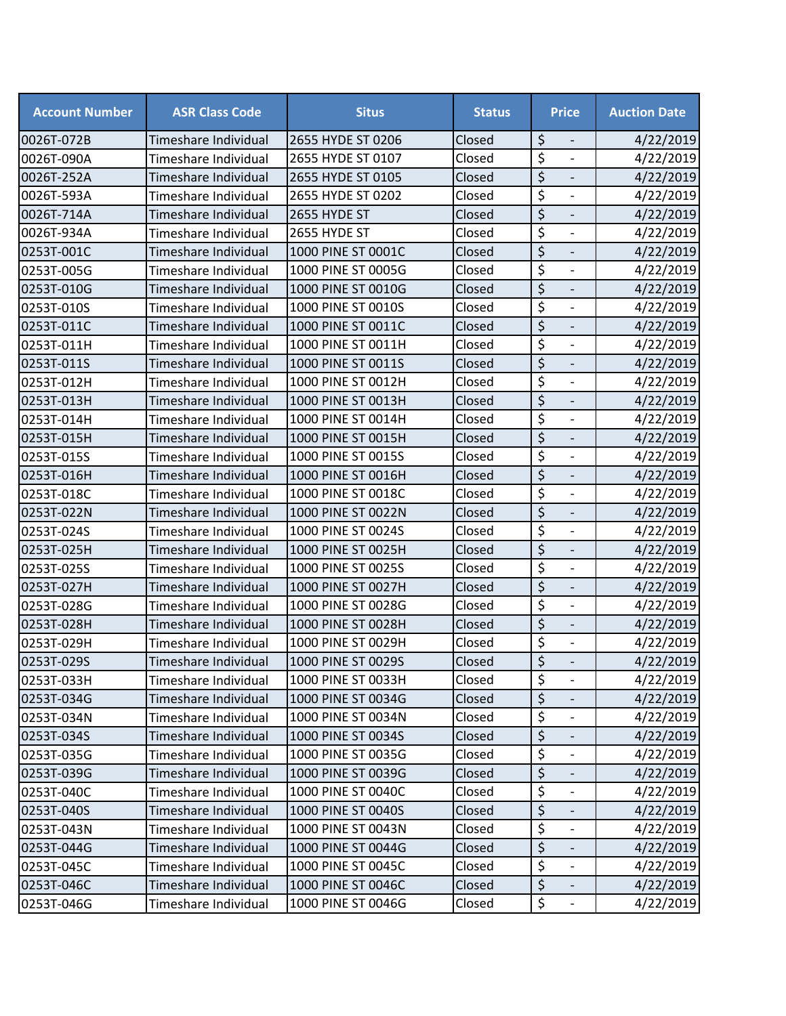| <b>Account Number</b> | <b>ASR Class Code</b> | <b>Situs</b>       | <b>Status</b> | <b>Price</b>                                         | <b>Auction Date</b> |
|-----------------------|-----------------------|--------------------|---------------|------------------------------------------------------|---------------------|
| 0026T-072B            | Timeshare Individual  | 2655 HYDE ST 0206  | Closed        | \$                                                   | 4/22/2019           |
| 0026T-090A            | Timeshare Individual  | 2655 HYDE ST 0107  | Closed        | \$<br>$\overline{\phantom{a}}$                       | 4/22/2019           |
| 0026T-252A            | Timeshare Individual  | 2655 HYDE ST 0105  | Closed        | \$                                                   | 4/22/2019           |
| 0026T-593A            | Timeshare Individual  | 2655 HYDE ST 0202  | Closed        | \$<br>$\overline{\phantom{a}}$                       | 4/22/2019           |
| 0026T-714A            | Timeshare Individual  | 2655 HYDE ST       | Closed        | $\overline{\xi}$<br>$\frac{1}{2}$                    | 4/22/2019           |
| 0026T-934A            | Timeshare Individual  | 2655 HYDE ST       | Closed        | \$<br>$\overline{\phantom{a}}$                       | 4/22/2019           |
| 0253T-001C            | Timeshare Individual  | 1000 PINE ST 0001C | Closed        | \$<br>$\overline{\phantom{a}}$                       | 4/22/2019           |
| 0253T-005G            | Timeshare Individual  | 1000 PINE ST 0005G | Closed        | $\overline{\boldsymbol{\zeta}}$                      | 4/22/2019           |
| 0253T-010G            | Timeshare Individual  | 1000 PINE ST 0010G | Closed        | $\overline{\xi}$<br>$\overline{\phantom{a}}$         | 4/22/2019           |
| 0253T-010S            | Timeshare Individual  | 1000 PINE ST 0010S | Closed        | \$<br>$\blacksquare$                                 | 4/22/2019           |
| 0253T-011C            | Timeshare Individual  | 1000 PINE ST 0011C | Closed        | \$<br>$\overline{\phantom{a}}$                       | 4/22/2019           |
| 0253T-011H            | Timeshare Individual  | 1000 PINE ST 0011H | Closed        | \$<br>$\blacksquare$                                 | 4/22/2019           |
| 0253T-011S            | Timeshare Individual  | 1000 PINE ST 0011S | Closed        | \$                                                   | 4/22/2019           |
| 0253T-012H            | Timeshare Individual  | 1000 PINE ST 0012H | Closed        | \$<br>$\overline{\phantom{a}}$                       | 4/22/2019           |
| 0253T-013H            | Timeshare Individual  | 1000 PINE ST 0013H | Closed        | $\overline{\xi}$                                     | 4/22/2019           |
| 0253T-014H            | Timeshare Individual  | 1000 PINE ST 0014H | Closed        | \$<br>$\overline{\phantom{a}}$                       | 4/22/2019           |
| 0253T-015H            | Timeshare Individual  | 1000 PINE ST 0015H | Closed        | \$<br>$\overline{\phantom{m}}$                       | 4/22/2019           |
| 0253T-015S            | Timeshare Individual  | 1000 PINE ST 0015S | Closed        | $\overline{\xi}$                                     | 4/22/2019           |
| 0253T-016H            | Timeshare Individual  | 1000 PINE ST 0016H | Closed        | \$<br>$\overline{\phantom{a}}$                       | 4/22/2019           |
| 0253T-018C            | Timeshare Individual  | 1000 PINE ST 0018C | Closed        | $\overline{\xi}$<br>$\overline{\phantom{a}}$         | 4/22/2019           |
| 0253T-022N            | Timeshare Individual  | 1000 PINE ST 0022N | Closed        | \$<br>$\overline{\phantom{a}}$                       | 4/22/2019           |
| 0253T-024S            | Timeshare Individual  | 1000 PINE ST 0024S | Closed        | \$                                                   | 4/22/2019           |
| 0253T-025H            | Timeshare Individual  | 1000 PINE ST 0025H | Closed        | \$<br>$\qquad \qquad \blacksquare$                   | 4/22/2019           |
| 0253T-025S            | Timeshare Individual  | 1000 PINE ST 0025S | Closed        | $\overline{\xi}$<br>$\blacksquare$                   | 4/22/2019           |
| 0253T-027H            | Timeshare Individual  | 1000 PINE ST 0027H | Closed        | \$                                                   | 4/22/2019           |
| 0253T-028G            | Timeshare Individual  | 1000 PINE ST 0028G | Closed        | \$<br>$\overline{\phantom{a}}$                       | 4/22/2019           |
| 0253T-028H            | Timeshare Individual  | 1000 PINE ST 0028H | Closed        | \$                                                   | 4/22/2019           |
| 0253T-029H            | Timeshare Individual  | 1000 PINE ST 0029H | Closed        | \$<br>$\blacksquare$                                 | 4/22/2019           |
| 0253T-029S            | Timeshare Individual  | 1000 PINE ST 0029S | Closed        | \$                                                   | 4/22/2019           |
| 0253T-033H            | Timeshare Individual  | 1000 PINE ST 0033H | Closed        | \$<br>$\overline{\phantom{a}}$                       | 4/22/2019           |
| 0253T-034G            | Timeshare Individual  | 1000 PINE ST 0034G | Closed        | \$                                                   | 4/22/2019           |
| 0253T-034N            | Timeshare Individual  | 1000 PINE ST 0034N | Closed        | \$<br>$\overline{\phantom{a}}$                       | 4/22/2019           |
| 0253T-034S            | Timeshare Individual  | 1000 PINE ST 0034S | Closed        | \$<br>$\overline{\phantom{a}}$                       | 4/22/2019           |
| 0253T-035G            | Timeshare Individual  | 1000 PINE ST 0035G | Closed        | \$                                                   | 4/22/2019           |
| 0253T-039G            | Timeshare Individual  | 1000 PINE ST 0039G | Closed        | \$<br>$\overline{\phantom{a}}$                       | 4/22/2019           |
| 0253T-040C            | Timeshare Individual  | 1000 PINE ST 0040C | Closed        | \$<br>$\overline{\phantom{a}}$                       | 4/22/2019           |
| 0253T-040S            | Timeshare Individual  | 1000 PINE ST 0040S | Closed        | $\overline{\xi}$                                     | 4/22/2019           |
| 0253T-043N            | Timeshare Individual  | 1000 PINE ST 0043N | Closed        | \$<br>$\overline{\phantom{a}}$                       | 4/22/2019           |
| 0253T-044G            | Timeshare Individual  | 1000 PINE ST 0044G | Closed        | $\overline{\xi}$<br>$\qquad \qquad \blacksquare$     | 4/22/2019           |
| 0253T-045C            | Timeshare Individual  | 1000 PINE ST 0045C | Closed        | $\overline{\mathcal{S}}$<br>$\overline{\phantom{a}}$ | 4/22/2019           |
| 0253T-046C            | Timeshare Individual  | 1000 PINE ST 0046C | Closed        | \$                                                   | 4/22/2019           |
| 0253T-046G            | Timeshare Individual  | 1000 PINE ST 0046G | Closed        | \$<br>$\overline{\phantom{a}}$                       | 4/22/2019           |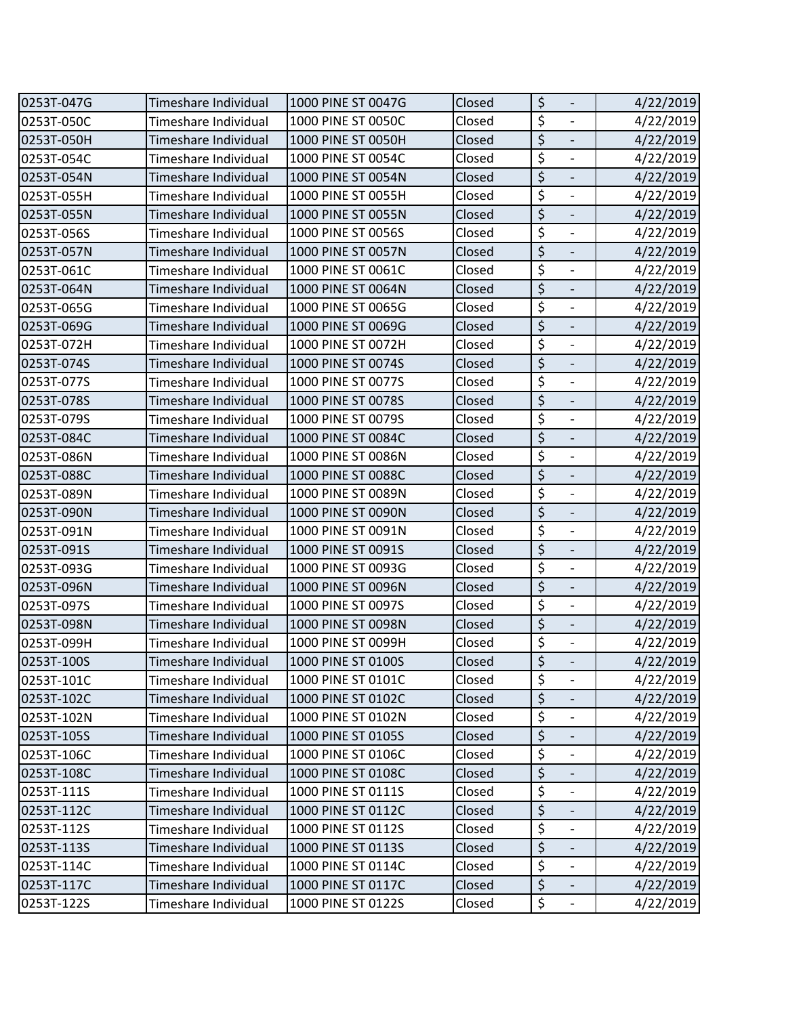| 0253T-047G | Timeshare Individual | 1000 PINE ST 0047G | Closed | \$<br>$\overline{\phantom{a}}$               | 4/22/2019 |
|------------|----------------------|--------------------|--------|----------------------------------------------|-----------|
| 0253T-050C | Timeshare Individual | 1000 PINE ST 0050C | Closed | \$<br>$\frac{1}{2}$                          | 4/22/2019 |
| 0253T-050H | Timeshare Individual | 1000 PINE ST 0050H | Closed | $\overline{\xi}$                             | 4/22/2019 |
| 0253T-054C | Timeshare Individual | 1000 PINE ST 0054C | Closed | \$<br>$\overline{\phantom{a}}$               | 4/22/2019 |
| 0253T-054N | Timeshare Individual | 1000 PINE ST 0054N | Closed | $\overline{\xi}$<br>$\overline{\phantom{a}}$ | 4/22/2019 |
| 0253T-055H | Timeshare Individual | 1000 PINE ST 0055H | Closed | \$<br>$\blacksquare$                         | 4/22/2019 |
| 0253T-055N | Timeshare Individual | 1000 PINE ST 0055N | Closed | \$<br>$\frac{1}{2}$                          | 4/22/2019 |
| 0253T-056S | Timeshare Individual | 1000 PINE ST 0056S | Closed | \$<br>$\overline{\phantom{a}}$               | 4/22/2019 |
| 0253T-057N | Timeshare Individual | 1000 PINE ST 0057N | Closed | $\overline{\xi}$<br>$\Box$                   | 4/22/2019 |
| 0253T-061C | Timeshare Individual | 1000 PINE ST 0061C | Closed | $\overline{\boldsymbol{\zeta}}$              | 4/22/2019 |
| 0253T-064N | Timeshare Individual | 1000 PINE ST 0064N | Closed | $\overline{\xi}$<br>$\overline{\phantom{a}}$ | 4/22/2019 |
| 0253T-065G | Timeshare Individual | 1000 PINE ST 0065G | Closed | $\overline{\xi}$<br>$\overline{\phantom{a}}$ | 4/22/2019 |
| 0253T-069G | Timeshare Individual | 1000 PINE ST 0069G | Closed | \$<br>$\overline{\phantom{a}}$               | 4/22/2019 |
| 0253T-072H | Timeshare Individual | 1000 PINE ST 0072H | Closed | $\overline{\xi}$<br>$\overline{\phantom{a}}$ | 4/22/2019 |
| 0253T-074S | Timeshare Individual | 1000 PINE ST 0074S | Closed | $\overline{\xi}$                             | 4/22/2019 |
| 0253T-077S | Timeshare Individual | 1000 PINE ST 0077S | Closed | \$<br>$\blacksquare$                         | 4/22/2019 |
| 0253T-078S | Timeshare Individual | 1000 PINE ST 0078S | Closed | $\overline{\xi}$<br>$\overline{\phantom{a}}$ | 4/22/2019 |
| 0253T-079S | Timeshare Individual | 1000 PINE ST 0079S | Closed | \$<br>$\overline{\phantom{a}}$               | 4/22/2019 |
| 0253T-084C | Timeshare Individual | 1000 PINE ST 0084C | Closed | \$                                           | 4/22/2019 |
| 0253T-086N | Timeshare Individual | 1000 PINE ST 0086N | Closed | \$<br>$\overline{\phantom{a}}$               | 4/22/2019 |
| 0253T-088C | Timeshare Individual | 1000 PINE ST 0088C | Closed | $\overline{\xi}$<br>$\blacksquare$           | 4/22/2019 |
| 0253T-089N | Timeshare Individual | 1000 PINE ST 0089N | Closed | \$<br>$\overline{\phantom{a}}$               | 4/22/2019 |
| 0253T-090N | Timeshare Individual | 1000 PINE ST 0090N | Closed | \$<br>$\blacksquare$                         | 4/22/2019 |
| 0253T-091N | Timeshare Individual | 1000 PINE ST 0091N | Closed | \$                                           | 4/22/2019 |
| 0253T-091S | Timeshare Individual | 1000 PINE ST 0091S | Closed | $\overline{\xi}$<br>$\overline{\phantom{a}}$ | 4/22/2019 |
| 0253T-093G | Timeshare Individual | 1000 PINE ST 0093G | Closed | \$<br>$\overline{\phantom{a}}$               | 4/22/2019 |
| 0253T-096N | Timeshare Individual | 1000 PINE ST 0096N | Closed | \$<br>$\overline{\phantom{a}}$               | 4/22/2019 |
| 0253T-097S | Timeshare Individual | 1000 PINE ST 0097S | Closed | $\overline{\xi}$<br>$\overline{\phantom{a}}$ | 4/22/2019 |
| 0253T-098N | Timeshare Individual | 1000 PINE ST 0098N | Closed | \$                                           | 4/22/2019 |
| 0253T-099H | Timeshare Individual | 1000 PINE ST 0099H | Closed | \$<br>$\blacksquare$                         | 4/22/2019 |
| 0253T-100S | Timeshare Individual | 1000 PINE ST 0100S | Closed | $\overline{\xi}$                             | 4/22/2019 |
| 0253T-101C | Timeshare Individual | 1000 PINE ST 0101C | Closed | \$<br>$\overline{\phantom{a}}$               | 4/22/2019 |
| 0253T-102C | Timeshare Individual | 1000 PINE ST 0102C | Closed | \$<br>$\overline{\phantom{0}}$               | 4/22/2019 |
| 0253T-102N | Timeshare Individual | 1000 PINE ST 0102N | Closed | \$<br>$\overline{\phantom{a}}$               | 4/22/2019 |
| 0253T-105S | Timeshare Individual | 1000 PINE ST 0105S | Closed | \$<br>$\overline{\phantom{a}}$               | 4/22/2019 |
| 0253T-106C | Timeshare Individual | 1000 PINE ST 0106C | Closed | $\overline{\xi}$<br>$\overline{\phantom{a}}$ | 4/22/2019 |
| 0253T-108C | Timeshare Individual | 1000 PINE ST 0108C | Closed | \$<br>$\overline{\phantom{a}}$               | 4/22/2019 |
| 0253T-111S | Timeshare Individual | 1000 PINE ST 0111S | Closed | \$                                           | 4/22/2019 |
| 0253T-112C | Timeshare Individual | 1000 PINE ST 0112C | Closed | \$<br>$\overline{\phantom{a}}$               | 4/22/2019 |
| 0253T-112S | Timeshare Individual | 1000 PINE ST 0112S | Closed | \$<br>$\overline{\phantom{a}}$               | 4/22/2019 |
| 0253T-113S | Timeshare Individual | 1000 PINE ST 0113S | Closed | \$                                           | 4/22/2019 |
| 0253T-114C | Timeshare Individual | 1000 PINE ST 0114C | Closed | $\overline{\xi}$<br>$\overline{\phantom{a}}$ | 4/22/2019 |
| 0253T-117C | Timeshare Individual | 1000 PINE ST 0117C | Closed | $\overline{\xi}$                             | 4/22/2019 |
| 0253T-122S | Timeshare Individual | 1000 PINE ST 0122S | Closed | \$<br>$\overline{\phantom{a}}$               | 4/22/2019 |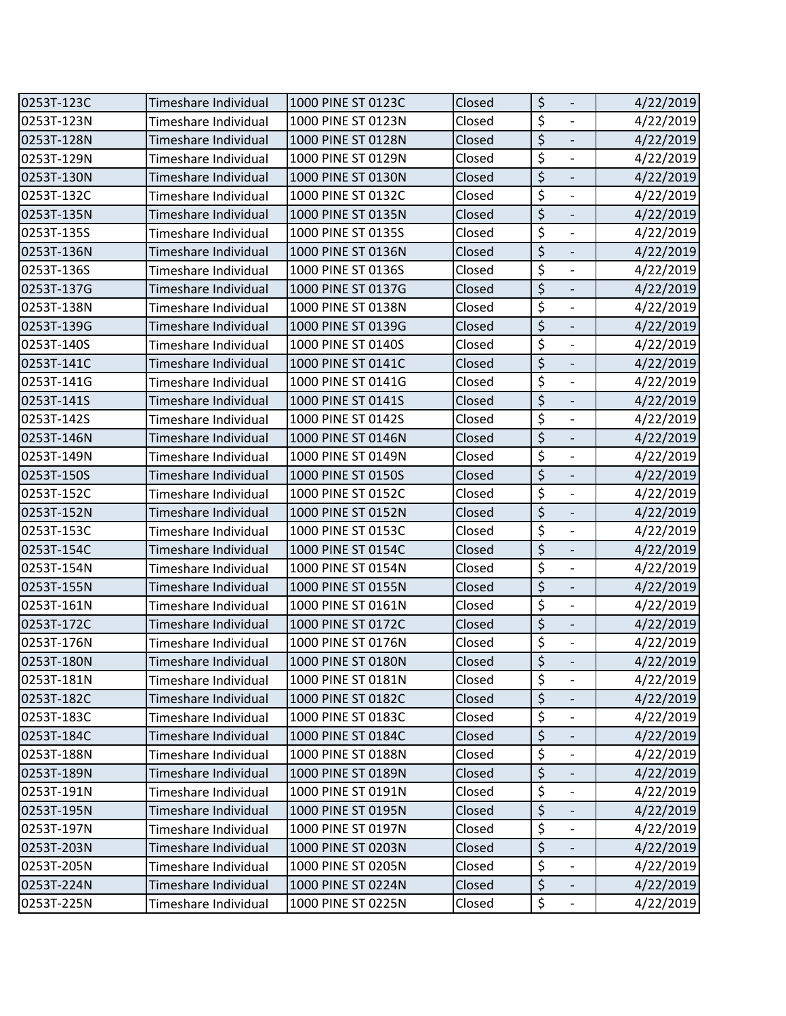| 0253T-123C | Timeshare Individual | 1000 PINE ST 0123C | Closed | \$<br>$\overline{\phantom{a}}$               | 4/22/2019 |
|------------|----------------------|--------------------|--------|----------------------------------------------|-----------|
| 0253T-123N | Timeshare Individual | 1000 PINE ST 0123N | Closed | \$<br>$\frac{1}{2}$                          | 4/22/2019 |
| 0253T-128N | Timeshare Individual | 1000 PINE ST 0128N | Closed | $\overline{\xi}$                             | 4/22/2019 |
| 0253T-129N | Timeshare Individual | 1000 PINE ST 0129N | Closed | \$<br>$\overline{\phantom{a}}$               | 4/22/2019 |
| 0253T-130N | Timeshare Individual | 1000 PINE ST 0130N | Closed | $\overline{\xi}$<br>$\overline{\phantom{a}}$ | 4/22/2019 |
| 0253T-132C | Timeshare Individual | 1000 PINE ST 0132C | Closed | \$<br>$\blacksquare$                         | 4/22/2019 |
| 0253T-135N | Timeshare Individual | 1000 PINE ST 0135N | Closed | \$<br>$\frac{1}{2}$                          | 4/22/2019 |
| 0253T-135S | Timeshare Individual | 1000 PINE ST 0135S | Closed | \$<br>$\overline{\phantom{a}}$               | 4/22/2019 |
| 0253T-136N | Timeshare Individual | 1000 PINE ST 0136N | Closed | $\overline{\xi}$<br>$\Box$                   | 4/22/2019 |
| 0253T-136S | Timeshare Individual | 1000 PINE ST 0136S | Closed | $\overline{\boldsymbol{\zeta}}$              | 4/22/2019 |
| 0253T-137G | Timeshare Individual | 1000 PINE ST 0137G | Closed | $\overline{\xi}$<br>$\overline{\phantom{a}}$ | 4/22/2019 |
| 0253T-138N | Timeshare Individual | 1000 PINE ST 0138N | Closed | $\overline{\xi}$<br>$\overline{\phantom{a}}$ | 4/22/2019 |
| 0253T-139G | Timeshare Individual | 1000 PINE ST 0139G | Closed | \$<br>$\overline{\phantom{a}}$               | 4/22/2019 |
| 0253T-140S | Timeshare Individual | 1000 PINE ST 0140S | Closed | $\overline{\xi}$<br>$\overline{\phantom{a}}$ | 4/22/2019 |
| 0253T-141C | Timeshare Individual | 1000 PINE ST 0141C | Closed | $\overline{\xi}$                             | 4/22/2019 |
| 0253T-141G | Timeshare Individual | 1000 PINE ST 0141G | Closed | \$<br>$\blacksquare$                         | 4/22/2019 |
| 0253T-141S | Timeshare Individual | 1000 PINE ST 0141S | Closed | $\overline{\xi}$<br>$\overline{\phantom{a}}$ | 4/22/2019 |
| 0253T-142S | Timeshare Individual | 1000 PINE ST 0142S | Closed | \$<br>$\overline{\phantom{a}}$               | 4/22/2019 |
| 0253T-146N | Timeshare Individual | 1000 PINE ST 0146N | Closed | \$                                           | 4/22/2019 |
| 0253T-149N | Timeshare Individual | 1000 PINE ST 0149N | Closed | \$<br>$\overline{\phantom{a}}$               | 4/22/2019 |
| 0253T-150S | Timeshare Individual | 1000 PINE ST 0150S | Closed | $\overline{\xi}$<br>$\blacksquare$           | 4/22/2019 |
| 0253T-152C | Timeshare Individual | 1000 PINE ST 0152C | Closed | \$<br>$\overline{\phantom{a}}$               | 4/22/2019 |
| 0253T-152N | Timeshare Individual | 1000 PINE ST 0152N | Closed | \$<br>$\overline{\phantom{a}}$               | 4/22/2019 |
| 0253T-153C | Timeshare Individual | 1000 PINE ST 0153C | Closed | $\overline{\boldsymbol{\zeta}}$              | 4/22/2019 |
| 0253T-154C | Timeshare Individual | 1000 PINE ST 0154C | Closed | $\overline{\xi}$<br>$\overline{\phantom{a}}$ | 4/22/2019 |
| 0253T-154N | Timeshare Individual | 1000 PINE ST 0154N | Closed | \$<br>$\overline{\phantom{a}}$               | 4/22/2019 |
| 0253T-155N | Timeshare Individual | 1000 PINE ST 0155N | Closed | \$<br>$\overline{\phantom{a}}$               | 4/22/2019 |
| 0253T-161N | Timeshare Individual | 1000 PINE ST 0161N | Closed | $\overline{\xi}$<br>$\overline{\phantom{a}}$ | 4/22/2019 |
| 0253T-172C | Timeshare Individual | 1000 PINE ST 0172C | Closed | \$                                           | 4/22/2019 |
| 0253T-176N | Timeshare Individual | 1000 PINE ST 0176N | Closed | \$<br>$\blacksquare$                         | 4/22/2019 |
| 0253T-180N | Timeshare Individual | 1000 PINE ST 0180N | Closed | $\overline{\xi}$                             | 4/22/2019 |
| 0253T-181N | Timeshare Individual | 1000 PINE ST 0181N | Closed | \$<br>$\overline{\phantom{a}}$               | 4/22/2019 |
| 0253T-182C | Timeshare Individual | 1000 PINE ST 0182C | Closed | \$<br>$\overline{\phantom{0}}$               | 4/22/2019 |
| 0253T-183C | Timeshare Individual | 1000 PINE ST 0183C | Closed | \$<br>$\overline{\phantom{a}}$               | 4/22/2019 |
| 0253T-184C | Timeshare Individual | 1000 PINE ST 0184C | Closed | \$<br>$\overline{\phantom{a}}$               | 4/22/2019 |
| 0253T-188N | Timeshare Individual | 1000 PINE ST 0188N | Closed | $\overline{\xi}$<br>$\overline{\phantom{a}}$ | 4/22/2019 |
| 0253T-189N | Timeshare Individual | 1000 PINE ST 0189N | Closed | \$<br>$\overline{\phantom{a}}$               | 4/22/2019 |
| 0253T-191N | Timeshare Individual | 1000 PINE ST 0191N | Closed | \$                                           | 4/22/2019 |
| 0253T-195N | Timeshare Individual | 1000 PINE ST 0195N | Closed | \$<br>$\overline{\phantom{a}}$               | 4/22/2019 |
| 0253T-197N | Timeshare Individual | 1000 PINE ST 0197N | Closed | \$<br>$\overline{\phantom{a}}$               | 4/22/2019 |
| 0253T-203N | Timeshare Individual | 1000 PINE ST 0203N | Closed | \$                                           | 4/22/2019 |
| 0253T-205N | Timeshare Individual | 1000 PINE ST 0205N | Closed | \$<br>$\overline{\phantom{a}}$               | 4/22/2019 |
| 0253T-224N | Timeshare Individual | 1000 PINE ST 0224N | Closed | $\overline{\xi}$                             | 4/22/2019 |
| 0253T-225N | Timeshare Individual | 1000 PINE ST 0225N | Closed | \$<br>$\overline{\phantom{a}}$               | 4/22/2019 |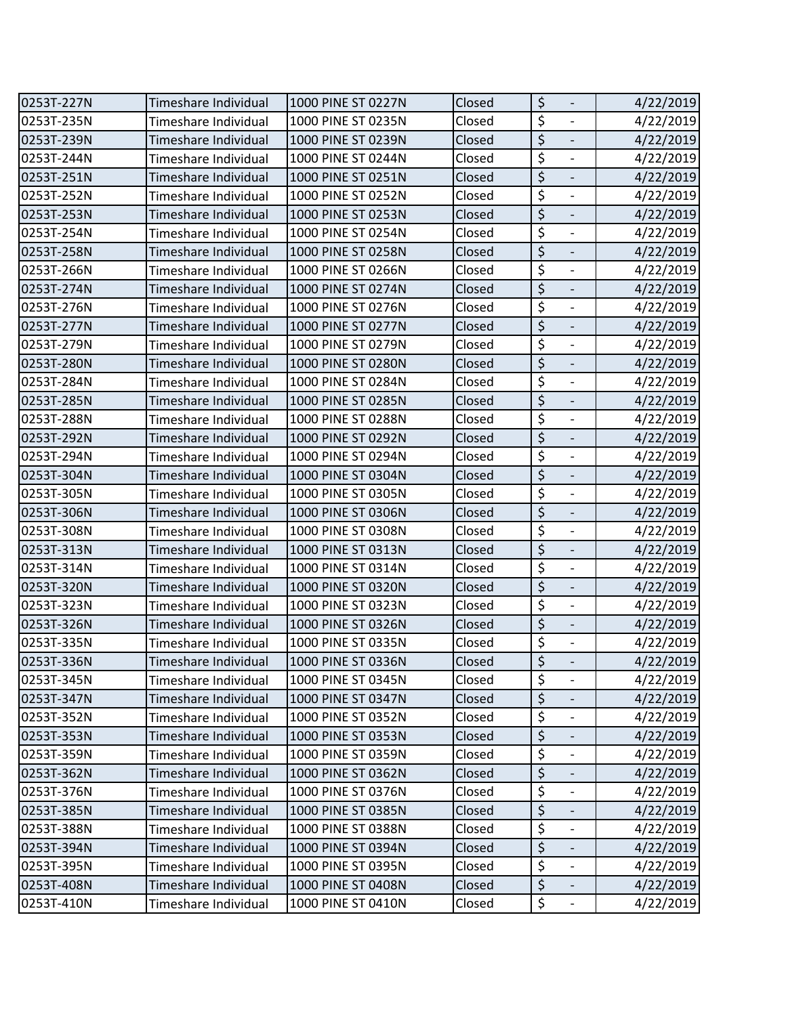| 0253T-227N | Timeshare Individual | 1000 PINE ST 0227N | Closed | \$<br>$\overline{\phantom{a}}$                              | 4/22/2019 |
|------------|----------------------|--------------------|--------|-------------------------------------------------------------|-----------|
| 0253T-235N | Timeshare Individual | 1000 PINE ST 0235N | Closed | $\overline{\xi}$<br>$\frac{1}{2}$                           | 4/22/2019 |
| 0253T-239N | Timeshare Individual | 1000 PINE ST 0239N | Closed | $\overline{\xi}$<br>$\overline{\phantom{a}}$                | 4/22/2019 |
| 0253T-244N | Timeshare Individual | 1000 PINE ST 0244N | Closed | \$<br>$\overline{\phantom{a}}$                              | 4/22/2019 |
| 0253T-251N | Timeshare Individual | 1000 PINE ST 0251N | Closed | $\overline{\xi}$                                            | 4/22/2019 |
| 0253T-252N | Timeshare Individual | 1000 PINE ST 0252N | Closed | \$<br>$\qquad \qquad -$                                     | 4/22/2019 |
| 0253T-253N | Timeshare Individual | 1000 PINE ST 0253N | Closed | $\overline{\xi}$<br>$\overline{\phantom{a}}$                | 4/22/2019 |
| 0253T-254N | Timeshare Individual | 1000 PINE ST 0254N | Closed | \$<br>$\blacksquare$                                        | 4/22/2019 |
| 0253T-258N | Timeshare Individual | 1000 PINE ST 0258N | Closed | \$<br>$\blacksquare$                                        | 4/22/2019 |
| 0253T-266N | Timeshare Individual | 1000 PINE ST 0266N | Closed | $\overline{\boldsymbol{\zeta}}$<br>$\overline{\phantom{a}}$ | 4/22/2019 |
| 0253T-274N | Timeshare Individual | 1000 PINE ST 0274N | Closed | $\overline{\xi}$<br>$\overline{\phantom{a}}$                | 4/22/2019 |
| 0253T-276N | Timeshare Individual | 1000 PINE ST 0276N | Closed | \$<br>$\frac{1}{2}$                                         | 4/22/2019 |
| 0253T-277N | Timeshare Individual | 1000 PINE ST 0277N | Closed | \$<br>$\overline{\phantom{a}}$                              | 4/22/2019 |
| 0253T-279N | Timeshare Individual | 1000 PINE ST 0279N | Closed | \$<br>$\blacksquare$                                        | 4/22/2019 |
| 0253T-280N | Timeshare Individual | 1000 PINE ST 0280N | Closed | \$                                                          | 4/22/2019 |
| 0253T-284N | Timeshare Individual | 1000 PINE ST 0284N | Closed | \$<br>$\blacksquare$                                        | 4/22/2019 |
| 0253T-285N | Timeshare Individual | 1000 PINE ST 0285N | Closed | $\overline{\xi}$<br>$\blacksquare$                          | 4/22/2019 |
| 0253T-288N | Timeshare Individual | 1000 PINE ST 0288N | Closed | $\overline{\boldsymbol{\zeta}}$<br>$\blacksquare$           | 4/22/2019 |
| 0253T-292N | Timeshare Individual | 1000 PINE ST 0292N | Closed | \$                                                          | 4/22/2019 |
| 0253T-294N | Timeshare Individual | 1000 PINE ST 0294N | Closed | \$<br>$\overline{\phantom{a}}$                              | 4/22/2019 |
| 0253T-304N | Timeshare Individual | 1000 PINE ST 0304N | Closed | $\overline{\xi}$<br>$\blacksquare$                          | 4/22/2019 |
| 0253T-305N | Timeshare Individual | 1000 PINE ST 0305N | Closed | $\overline{\xi}$<br>$\overline{\phantom{a}}$                | 4/22/2019 |
| 0253T-306N | Timeshare Individual | 1000 PINE ST 0306N | Closed | \$<br>$\overline{\phantom{a}}$                              | 4/22/2019 |
| 0253T-308N | Timeshare Individual | 1000 PINE ST 0308N | Closed | $\overline{\boldsymbol{\zeta}}$<br>$\frac{1}{2}$            | 4/22/2019 |
| 0253T-313N | Timeshare Individual | 1000 PINE ST 0313N | Closed | \$<br>$\overline{\phantom{a}}$                              | 4/22/2019 |
| 0253T-314N | Timeshare Individual | 1000 PINE ST 0314N | Closed | \$<br>$\overline{\phantom{a}}$                              | 4/22/2019 |
| 0253T-320N | Timeshare Individual | 1000 PINE ST 0320N | Closed | $\overline{\xi}$<br>$\overline{\phantom{a}}$                | 4/22/2019 |
| 0253T-323N | Timeshare Individual | 1000 PINE ST 0323N | Closed | \$<br>$\overline{\phantom{a}}$                              | 4/22/2019 |
| 0253T-326N | Timeshare Individual | 1000 PINE ST 0326N | Closed | $\overline{\xi}$<br>$\overline{\phantom{0}}$                | 4/22/2019 |
| 0253T-335N | Timeshare Individual | 1000 PINE ST 0335N | Closed | \$<br>$\overline{\phantom{a}}$                              | 4/22/2019 |
| 0253T-336N | Timeshare Individual | 1000 PINE ST 0336N | Closed | \$                                                          | 4/22/2019 |
| 0253T-345N | Timeshare Individual | 1000 PINE ST 0345N | Closed | \$<br>$\overline{\phantom{a}}$                              | 4/22/2019 |
| 0253T-347N | Timeshare Individual | 1000 PINE ST 0347N | Closed | \$<br>$\overline{\phantom{a}}$                              | 4/22/2019 |
| 0253T-352N | Timeshare Individual | 1000 PINE ST 0352N | Closed | \$                                                          | 4/22/2019 |
| 0253T-353N | Timeshare Individual | 1000 PINE ST 0353N | Closed | \$<br>$\overline{\phantom{a}}$                              | 4/22/2019 |
| 0253T-359N | Timeshare Individual | 1000 PINE ST 0359N | Closed | \$                                                          | 4/22/2019 |
| 0253T-362N | Timeshare Individual | 1000 PINE ST 0362N | Closed | \$<br>$\overline{\phantom{0}}$                              | 4/22/2019 |
| 0253T-376N | Timeshare Individual | 1000 PINE ST 0376N | Closed | \$                                                          | 4/22/2019 |
| 0253T-385N | Timeshare Individual | 1000 PINE ST 0385N | Closed | \$<br>$\qquad \qquad \blacksquare$                          | 4/22/2019 |
| 0253T-388N | Timeshare Individual | 1000 PINE ST 0388N | Closed | \$<br>$\overline{\phantom{a}}$                              | 4/22/2019 |
| 0253T-394N | Timeshare Individual | 1000 PINE ST 0394N | Closed | \$                                                          | 4/22/2019 |
| 0253T-395N | Timeshare Individual | 1000 PINE ST 0395N | Closed | \$<br>$\overline{\phantom{a}}$                              | 4/22/2019 |
| 0253T-408N | Timeshare Individual | 1000 PINE ST 0408N | Closed | $\overline{\xi}$                                            | 4/22/2019 |
| 0253T-410N | Timeshare Individual | 1000 PINE ST 0410N | Closed | \$<br>$\overline{\phantom{a}}$                              | 4/22/2019 |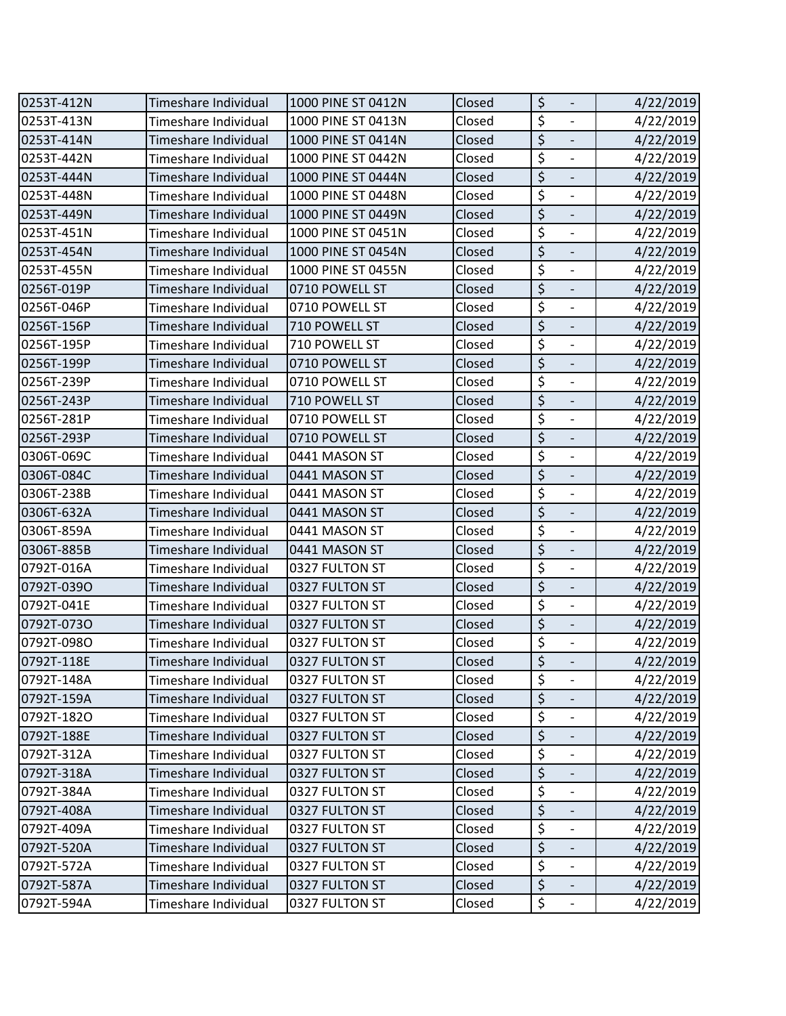| 0253T-412N | Timeshare Individual | 1000 PINE ST 0412N | Closed | \$<br>$\overline{\phantom{a}}$                              | 4/22/2019 |
|------------|----------------------|--------------------|--------|-------------------------------------------------------------|-----------|
| 0253T-413N | Timeshare Individual | 1000 PINE ST 0413N | Closed | $\overline{\xi}$<br>$\blacksquare$                          | 4/22/2019 |
| 0253T-414N | Timeshare Individual | 1000 PINE ST 0414N | Closed | $\overline{\xi}$                                            | 4/22/2019 |
| 0253T-442N | Timeshare Individual | 1000 PINE ST 0442N | Closed | \$<br>$\overline{\phantom{a}}$                              | 4/22/2019 |
| 0253T-444N | Timeshare Individual | 1000 PINE ST 0444N | Closed | $\overline{\xi}$<br>$\blacksquare$                          | 4/22/2019 |
| 0253T-448N | Timeshare Individual | 1000 PINE ST 0448N | Closed | \$<br>$\mathbb{Z}$                                          | 4/22/2019 |
| 0253T-449N | Timeshare Individual | 1000 PINE ST 0449N | Closed | \$<br>$\blacksquare$                                        | 4/22/2019 |
| 0253T-451N | Timeshare Individual | 1000 PINE ST 0451N | Closed | $\overline{\xi}$<br>$\blacksquare$                          | 4/22/2019 |
| 0253T-454N | Timeshare Individual | 1000 PINE ST 0454N | Closed | $\overline{\xi}$<br>$\Box$                                  | 4/22/2019 |
| 0253T-455N | Timeshare Individual | 1000 PINE ST 0455N | Closed | $\overline{\xi}$<br>$\blacksquare$                          | 4/22/2019 |
| 0256T-019P | Timeshare Individual | 0710 POWELL ST     | Closed | $\overline{\xi}$<br>$\overline{\phantom{a}}$                | 4/22/2019 |
| 0256T-046P | Timeshare Individual | 0710 POWELL ST     | Closed | $\overline{\boldsymbol{\zeta}}$<br>$\overline{\phantom{a}}$ | 4/22/2019 |
| 0256T-156P | Timeshare Individual | 710 POWELL ST      | Closed | \$<br>$\overline{\phantom{a}}$                              | 4/22/2019 |
| 0256T-195P | Timeshare Individual | 710 POWELL ST      | Closed | $\overline{\xi}$<br>$\blacksquare$                          | 4/22/2019 |
| 0256T-199P | Timeshare Individual | 0710 POWELL ST     | Closed | $\overline{\xi}$                                            | 4/22/2019 |
| 0256T-239P | Timeshare Individual | 0710 POWELL ST     | Closed | \$<br>$\overline{\phantom{a}}$                              | 4/22/2019 |
| 0256T-243P | Timeshare Individual | 710 POWELL ST      | Closed | $\overline{\xi}$<br>$\overline{\phantom{a}}$                | 4/22/2019 |
| 0256T-281P | Timeshare Individual | 0710 POWELL ST     | Closed | \$<br>$\blacksquare$                                        | 4/22/2019 |
| 0256T-293P | Timeshare Individual | 0710 POWELL ST     | Closed | \$                                                          | 4/22/2019 |
| 0306T-069C | Timeshare Individual | 0441 MASON ST      | Closed | \$<br>$\overline{\phantom{a}}$                              | 4/22/2019 |
| 0306T-084C | Timeshare Individual | 0441 MASON ST      | Closed | $\overline{\xi}$<br>$\overline{\phantom{a}}$                | 4/22/2019 |
| 0306T-238B | Timeshare Individual | 0441 MASON ST      | Closed | \$<br>$\overline{\phantom{a}}$                              | 4/22/2019 |
| 0306T-632A | Timeshare Individual | 0441 MASON ST      | Closed | \$<br>$\overline{\phantom{a}}$                              | 4/22/2019 |
| 0306T-859A | Timeshare Individual | 0441 MASON ST      | Closed | \$                                                          | 4/22/2019 |
| 0306T-885B | Timeshare Individual | 0441 MASON ST      | Closed | $\overline{\xi}$<br>$\overline{\phantom{a}}$                | 4/22/2019 |
| 0792T-016A | Timeshare Individual | 0327 FULTON ST     | Closed | \$<br>$\overline{\phantom{a}}$                              | 4/22/2019 |
| 0792T-039O | Timeshare Individual | 0327 FULTON ST     | Closed | \$<br>$\overline{\phantom{a}}$                              | 4/22/2019 |
| 0792T-041E | Timeshare Individual | 0327 FULTON ST     | Closed | $\overline{\xi}$<br>$\overline{\phantom{a}}$                | 4/22/2019 |
| 0792T-073O | Timeshare Individual | 0327 FULTON ST     | Closed | $\overline{\xi}$                                            | 4/22/2019 |
| 0792T-098O | Timeshare Individual | 0327 FULTON ST     | Closed | \$<br>$\blacksquare$                                        | 4/22/2019 |
| 0792T-118E | Timeshare Individual | 0327 FULTON ST     | Closed | $\overline{\xi}$                                            | 4/22/2019 |
| 0792T-148A | Timeshare Individual | 0327 FULTON ST     | Closed | \$<br>$\overline{\phantom{a}}$                              | 4/22/2019 |
| 0792T-159A | Timeshare Individual | 0327 FULTON ST     | Closed | \$<br>$\frac{1}{2}$                                         | 4/22/2019 |
| 0792T-182O | Timeshare Individual | 0327 FULTON ST     | Closed | $\overline{\xi}$<br>$\overline{\phantom{a}}$                | 4/22/2019 |
| 0792T-188E | Timeshare Individual | 0327 FULTON ST     | Closed | \$<br>$\overline{\phantom{a}}$                              | 4/22/2019 |
| 0792T-312A | Timeshare Individual | 0327 FULTON ST     | Closed | $\overline{\xi}$<br>$\overline{\phantom{a}}$                | 4/22/2019 |
| 0792T-318A | Timeshare Individual | 0327 FULTON ST     | Closed | \$<br>$\overline{\phantom{a}}$                              | 4/22/2019 |
| 0792T-384A | Timeshare Individual | 0327 FULTON ST     | Closed | \$                                                          | 4/22/2019 |
| 0792T-408A | Timeshare Individual | 0327 FULTON ST     | Closed | $\overline{\xi}$<br>$\overline{\phantom{a}}$                | 4/22/2019 |
| 0792T-409A | Timeshare Individual | 0327 FULTON ST     | Closed | \$<br>$\overline{\phantom{a}}$                              | 4/22/2019 |
| 0792T-520A | Timeshare Individual | 0327 FULTON ST     | Closed | \$                                                          | 4/22/2019 |
| 0792T-572A | Timeshare Individual | 0327 FULTON ST     | Closed | $\overline{\xi}$<br>$\overline{\phantom{a}}$                | 4/22/2019 |
| 0792T-587A | Timeshare Individual | 0327 FULTON ST     | Closed | $\overline{\xi}$                                            | 4/22/2019 |
| 0792T-594A | Timeshare Individual | 0327 FULTON ST     | Closed | \$<br>$\overline{\phantom{a}}$                              | 4/22/2019 |